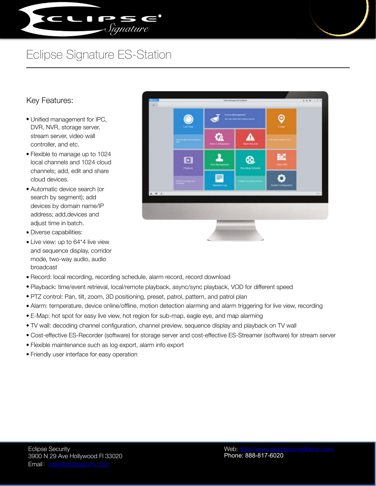

## Eclipse Signature ES-Station

## Key Features:

- Unified management for IPC, DVR, NVR, storage server, stream server, video wall controller, and etc.
- Flexible to manage up to 1024 local channels and 1024 cloud channels; add, edit and share cloud devices.
- Automatic device search (or search by segment); add devices by domain name/IP address; add,devices and adjust time in batch.
- Diverse capabilities:
- Live view: up to 64\*4 live view and sequence display, corridor mode, two-way audio, audio broadcast
- Record: local recording, recording schedule, alarm record, record download
- Playback: time/event retrieval, local/remote playback, async/sync playback, VOD for different speed
- PTZ control: Pan, tilt, zoom, 3D positioning, preset, patrol, pattern, and patrol plan
- Alarm: temperature, device online/offline, motion detection alarming and alarm triggering for live view, recording
- E-Map: hot spot for easy live view, hot region for sub-map, eagle eye, and map alarming
- TV wall: decoding channel configuration, channel preview, sequence display and playback on TV wall
- Cost-effective ES-Recorder (software) for storage server and cost-effective ES-Streamer (software) for stream server
- Flexible maintenance such as log export, alarm info export
- Friendly user interface for easy operation